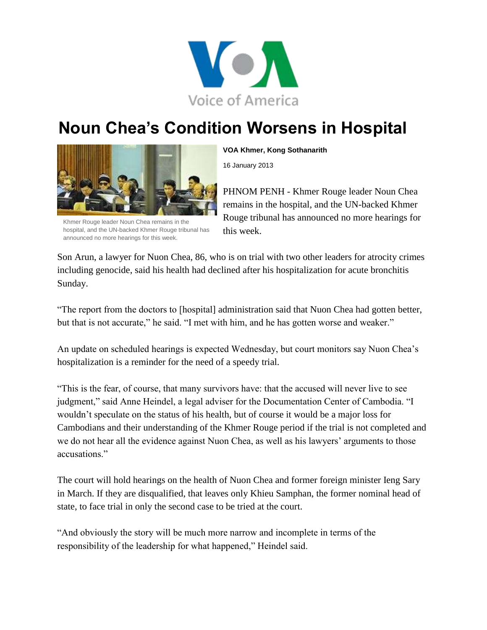

## **Noun Chea's Condition Worsens in Hospital**



Khmer Rouge leader Noun Chea remains in the hospital, and the UN-backed Khmer Rouge tribunal has announced no more hearings for this week.

**VOA Khmer, Kong Sothanarith**

16 January 2013

PHNOM PENH - Khmer Rouge leader Noun Chea remains in the hospital, and the UN-backed Khmer Rouge tribunal has announced no more hearings for this week.

Son Arun, a lawyer for Nuon Chea, 86, who is on trial with two other leaders for atrocity crimes including genocide, said his health had declined after his hospitalization for acute bronchitis Sunday.

"The report from the doctors to [hospital] administration said that Nuon Chea had gotten better, but that is not accurate," he said. "I met with him, and he has gotten worse and weaker."

An update on scheduled hearings is expected Wednesday, but court monitors say Nuon Chea's hospitalization is a reminder for the need of a speedy trial.

"This is the fear, of course, that many survivors have: that the accused will never live to see judgment," said Anne Heindel, a legal adviser for the Documentation Center of Cambodia. "I wouldn't speculate on the status of his health, but of course it would be a major loss for Cambodians and their understanding of the Khmer Rouge period if the trial is not completed and we do not hear all the evidence against Nuon Chea, as well as his lawyers' arguments to those accusations."

The court will hold hearings on the health of Nuon Chea and former foreign minister Ieng Sary in March. If they are disqualified, that leaves only Khieu Samphan, the former nominal head of state, to face trial in only the second case to be tried at the court.

"And obviously the story will be much more narrow and incomplete in terms of the responsibility of the leadership for what happened," Heindel said.